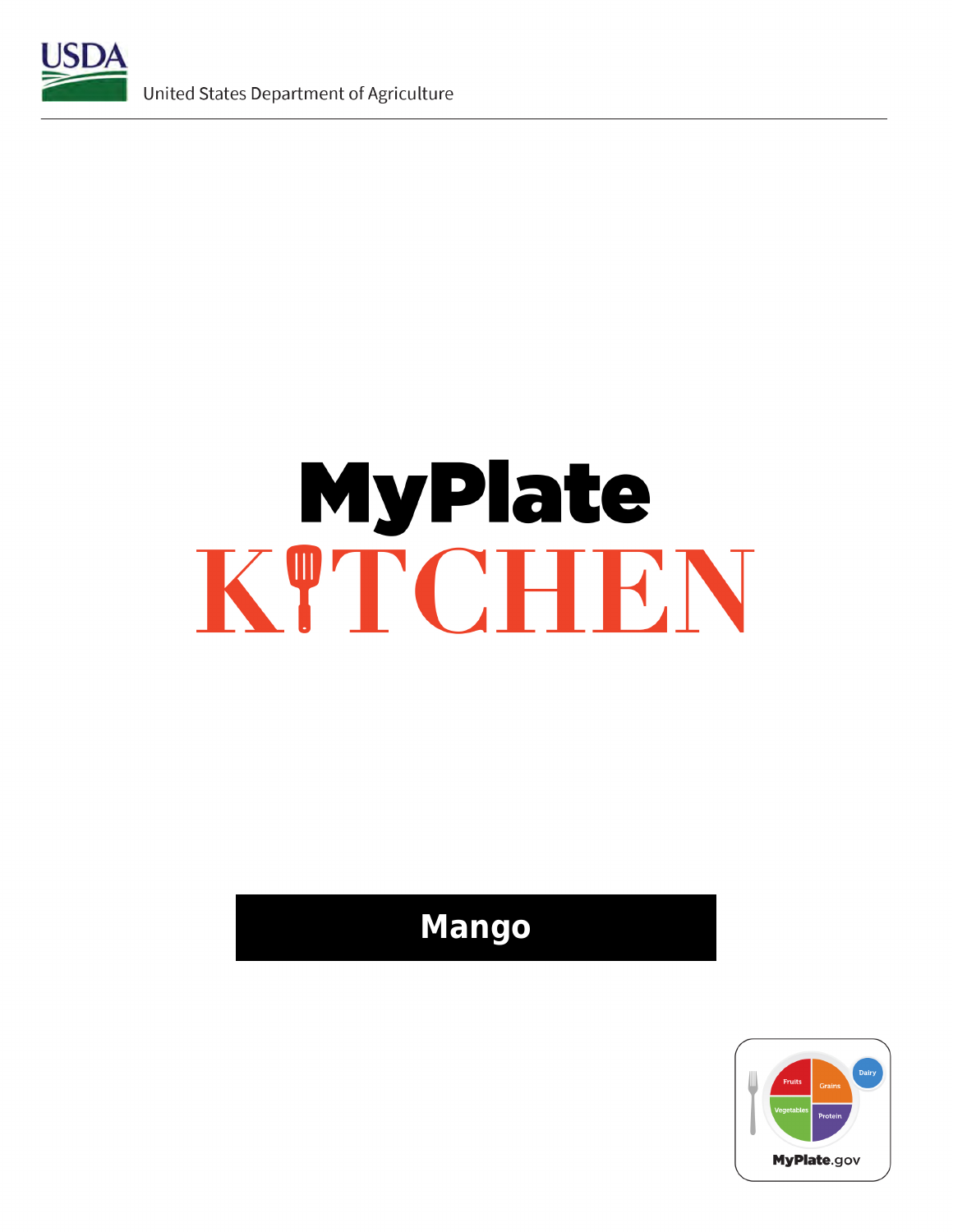

# **MyPlate** KTTCHEN

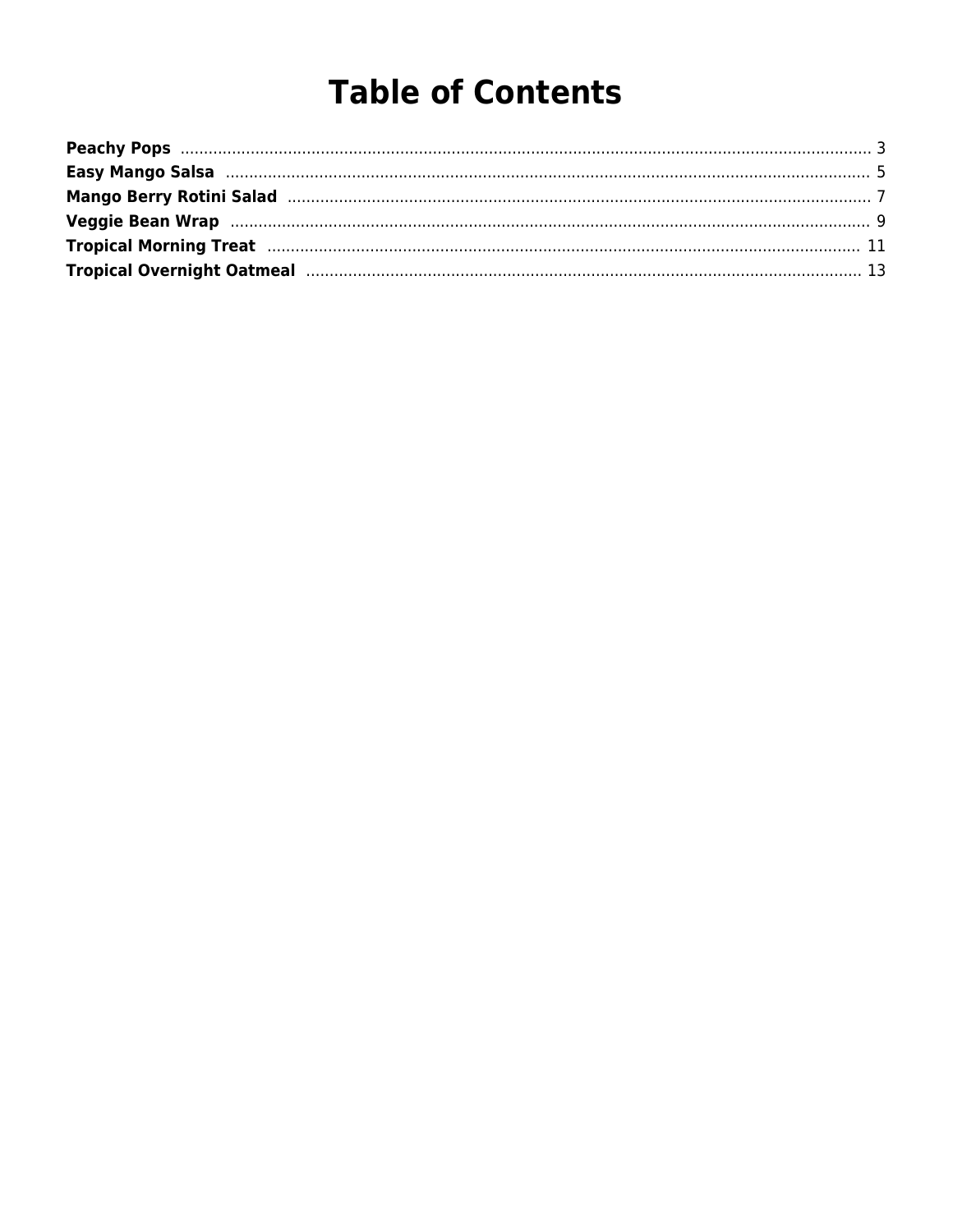# **Table of Contents**

| Tropical Morning Treat manufacture and the contract of the contract of the contract of the contract of the contract of the contract of the contract of the contract of the contract of the contract of the contract of the con |  |
|--------------------------------------------------------------------------------------------------------------------------------------------------------------------------------------------------------------------------------|--|
| Tropical Overnight Oatmeal manufactured and a state of the 13                                                                                                                                                                  |  |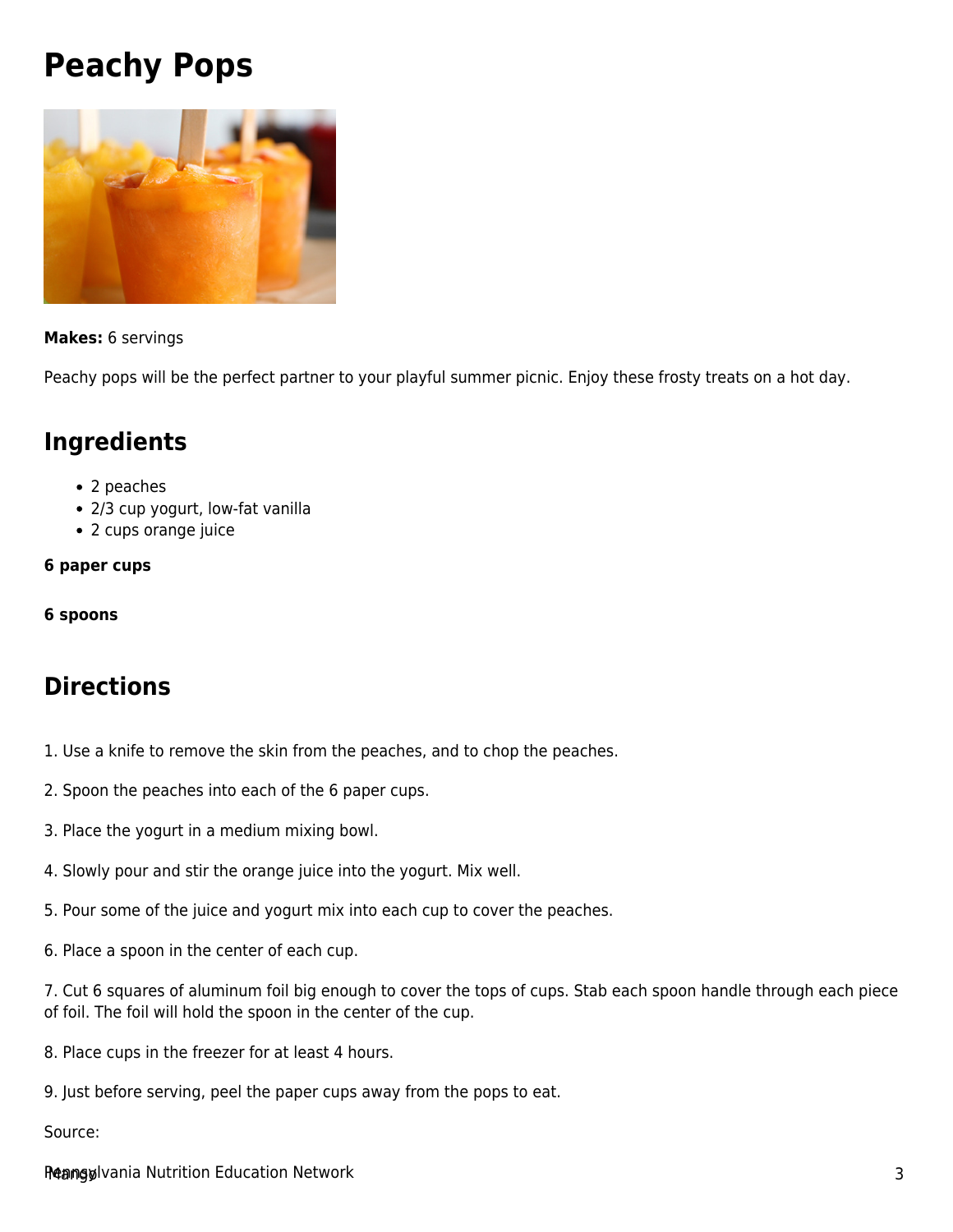# <span id="page-2-0"></span>**Peachy Pops**



#### **Makes:** 6 servings

Peachy pops will be the perfect partner to your playful summer picnic. Enjoy these frosty treats on a hot day.

#### **Ingredients**

- 2 peaches
- 2/3 cup yogurt, low-fat vanilla
- 2 cups orange juice

#### **6 paper cups**

**6 spoons**

#### **Directions**

- 1. Use a knife to remove the skin from the peaches, and to chop the peaches.
- 2. Spoon the peaches into each of the 6 paper cups.
- 3. Place the yogurt in a medium mixing bowl.
- 4. Slowly pour and stir the orange juice into the yogurt. Mix well.
- 5. Pour some of the juice and yogurt mix into each cup to cover the peaches.
- 6. Place a spoon in the center of each cup.

7. Cut 6 squares of aluminum foil big enough to cover the tops of cups. Stab each spoon handle through each piece of foil. The foil will hold the spoon in the center of the cup.

- 8. Place cups in the freezer for at least 4 hours.
- 9. Just before serving, peel the paper cups away from the pops to eat.

#### Source:

Reangulvania Nutrition Education Network and the control of the control of the control of the control of the control of the control of the control of the control of the control of the control of the control of the control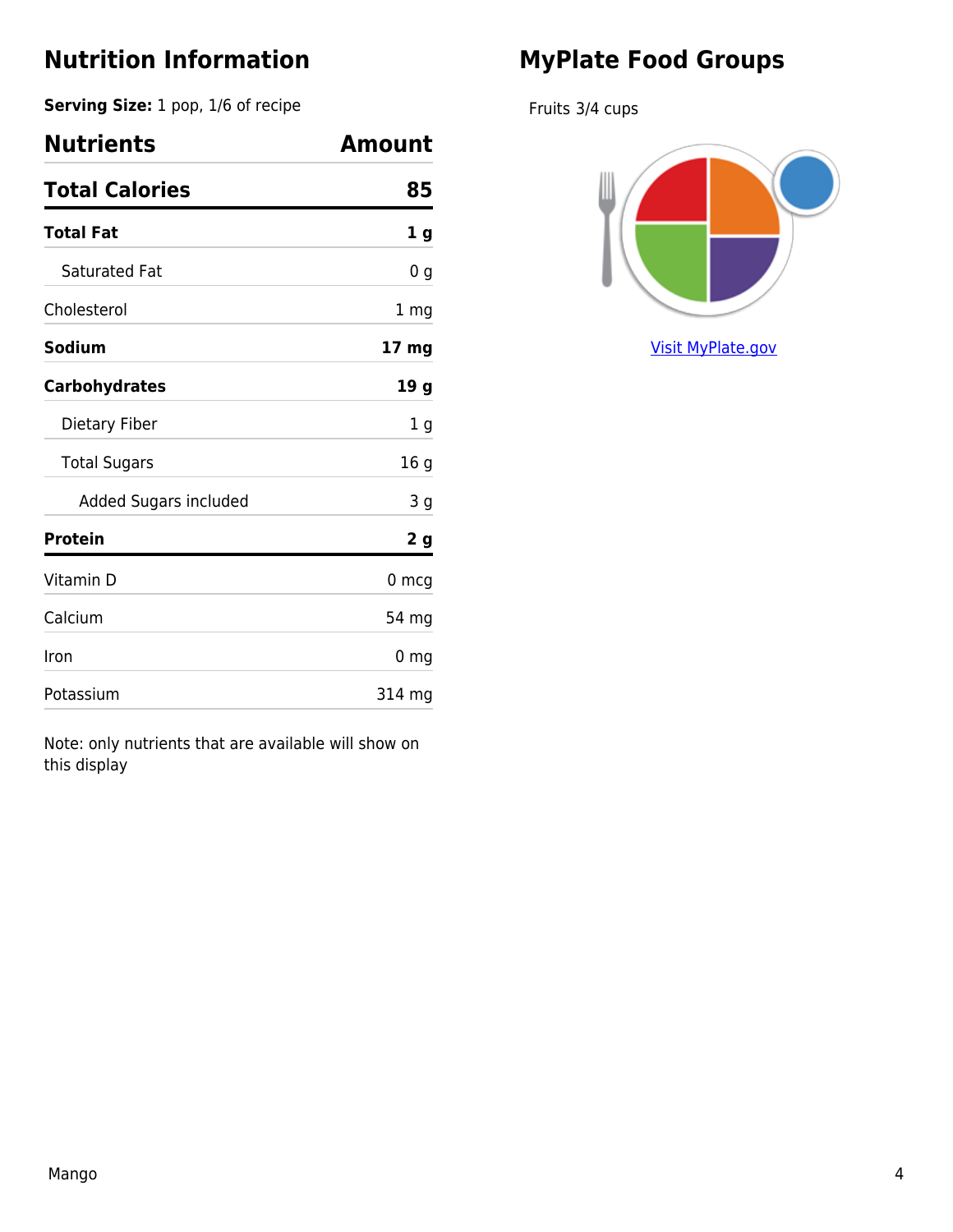**Serving Size:** 1 pop, 1/6 of recipe

| <b>Nutrients</b>      | Amount          |
|-----------------------|-----------------|
| <b>Total Calories</b> | 85              |
| <b>Total Fat</b>      | 1 <sub>g</sub>  |
| Saturated Fat         | 0 g             |
| Cholesterol           | 1 mg            |
| Sodium                | 17 mg           |
| <b>Carbohydrates</b>  | 19 <sub>g</sub> |
| Dietary Fiber         | 1 g             |
| <b>Total Sugars</b>   | 16 <sub>g</sub> |
| Added Sugars included | 3 <sub>g</sub>  |
| <b>Protein</b>        | 2 <sub>g</sub>  |
| Vitamin D             | $0 \text{ mcg}$ |
| Calcium               | 54 mg           |
| Iron                  | 0 <sub>mg</sub> |
| Potassium             | 314 mg          |

Note: only nutrients that are available will show on this display

## **MyPlate Food Groups**

Fruits 3/4 cups

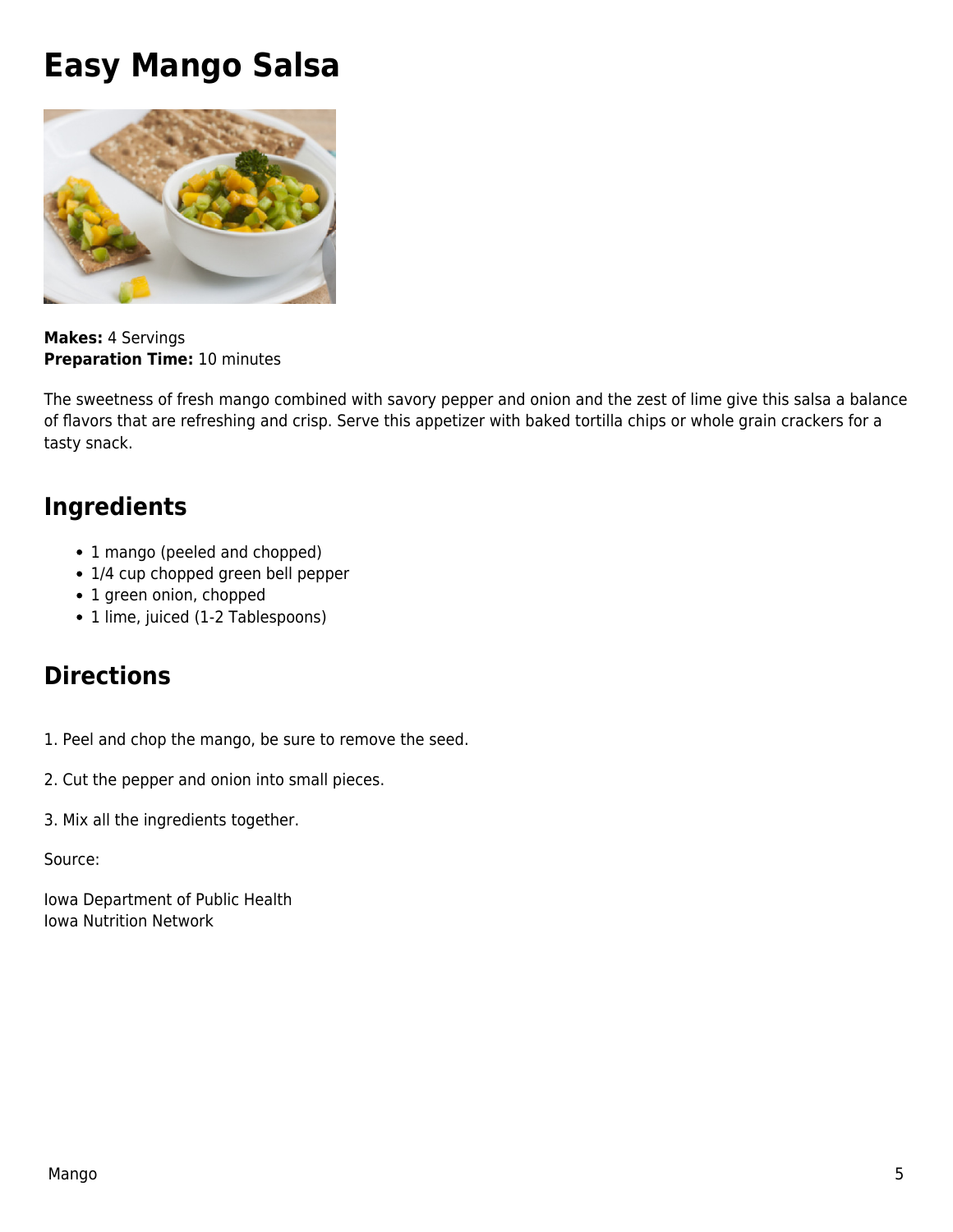## <span id="page-4-0"></span>**Easy Mango Salsa**



**Makes:** 4 Servings **Preparation Time:** 10 minutes

The sweetness of fresh mango combined with savory pepper and onion and the zest of lime give this salsa a balance of flavors that are refreshing and crisp. Serve this appetizer with baked tortilla chips or whole grain crackers for a tasty snack.

#### **Ingredients**

- 1 mango (peeled and chopped)
- 1/4 cup chopped green bell pepper
- 1 green onion, chopped
- 1 lime, juiced (1-2 Tablespoons)

#### **Directions**

1. Peel and chop the mango, be sure to remove the seed.

- 2. Cut the pepper and onion into small pieces.
- 3. Mix all the ingredients together.

#### Source:

Iowa Department of Public Health Iowa Nutrition Network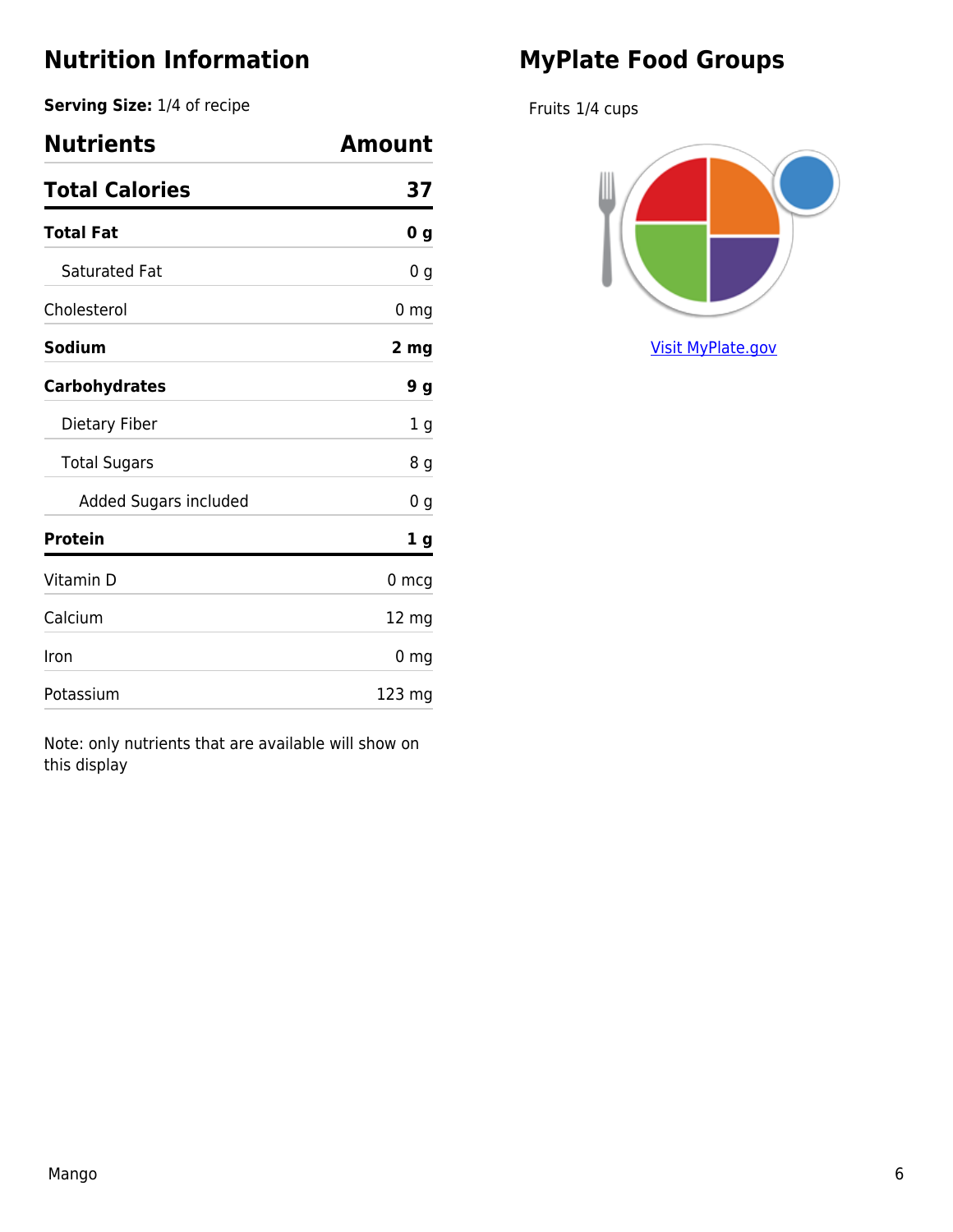**Serving Size:** 1/4 of recipe

| <b>Nutrients</b>      | Amount          |
|-----------------------|-----------------|
| <b>Total Calories</b> | 37              |
| <b>Total Fat</b>      | 0 <sub>g</sub>  |
| <b>Saturated Fat</b>  | 0 g             |
| Cholesterol           | $0 \text{ mg}$  |
| <b>Sodium</b>         | 2 mg            |
| <b>Carbohydrates</b>  | 9 <sub>g</sub>  |
| Dietary Fiber         | 1 g             |
| <b>Total Sugars</b>   | 8 g             |
| Added Sugars included | 0 g             |
| <b>Protein</b>        | 1 g             |
| Vitamin D             | 0 mcg           |
| Calcium               | $12 \text{ mg}$ |
| Iron                  | 0 <sub>mg</sub> |
| Potassium             | 123 mg          |

Note: only nutrients that are available will show on this display

## **MyPlate Food Groups**

Fruits 1/4 cups

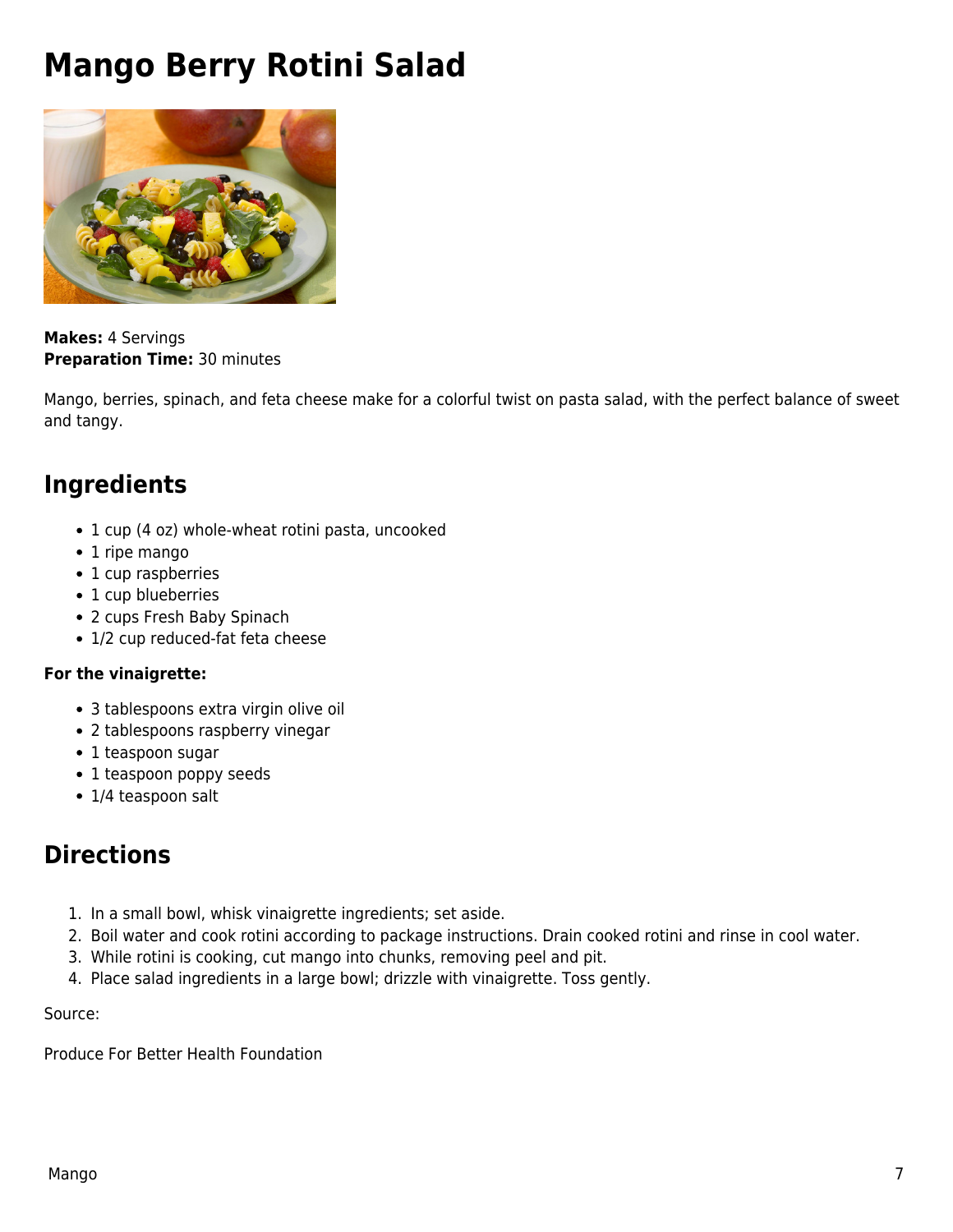# <span id="page-6-0"></span>**Mango Berry Rotini Salad**



**Makes:** 4 Servings **Preparation Time:** 30 minutes

Mango, berries, spinach, and feta cheese make for a colorful twist on pasta salad, with the perfect balance of sweet and tangy.

#### **Ingredients**

- 1 cup (4 oz) whole-wheat rotini pasta, uncooked
- 1 ripe mango
- 1 cup raspberries
- 1 cup blueberries
- 2 cups Fresh Baby Spinach
- 1/2 cup reduced-fat feta cheese

#### **For the vinaigrette:**

- 3 tablespoons extra virgin olive oil
- 2 tablespoons raspberry vinegar
- 1 teaspoon sugar
- 1 teaspoon poppy seeds
- 1/4 teaspoon salt

#### **Directions**

- 1. In a small bowl, whisk vinaigrette ingredients; set aside.
- 2. Boil water and cook rotini according to package instructions. Drain cooked rotini and rinse in cool water.
- 3. While rotini is cooking, cut mango into chunks, removing peel and pit.
- 4. Place salad ingredients in a large bowl; drizzle with vinaigrette. Toss gently.

Source:

Produce For Better Health Foundation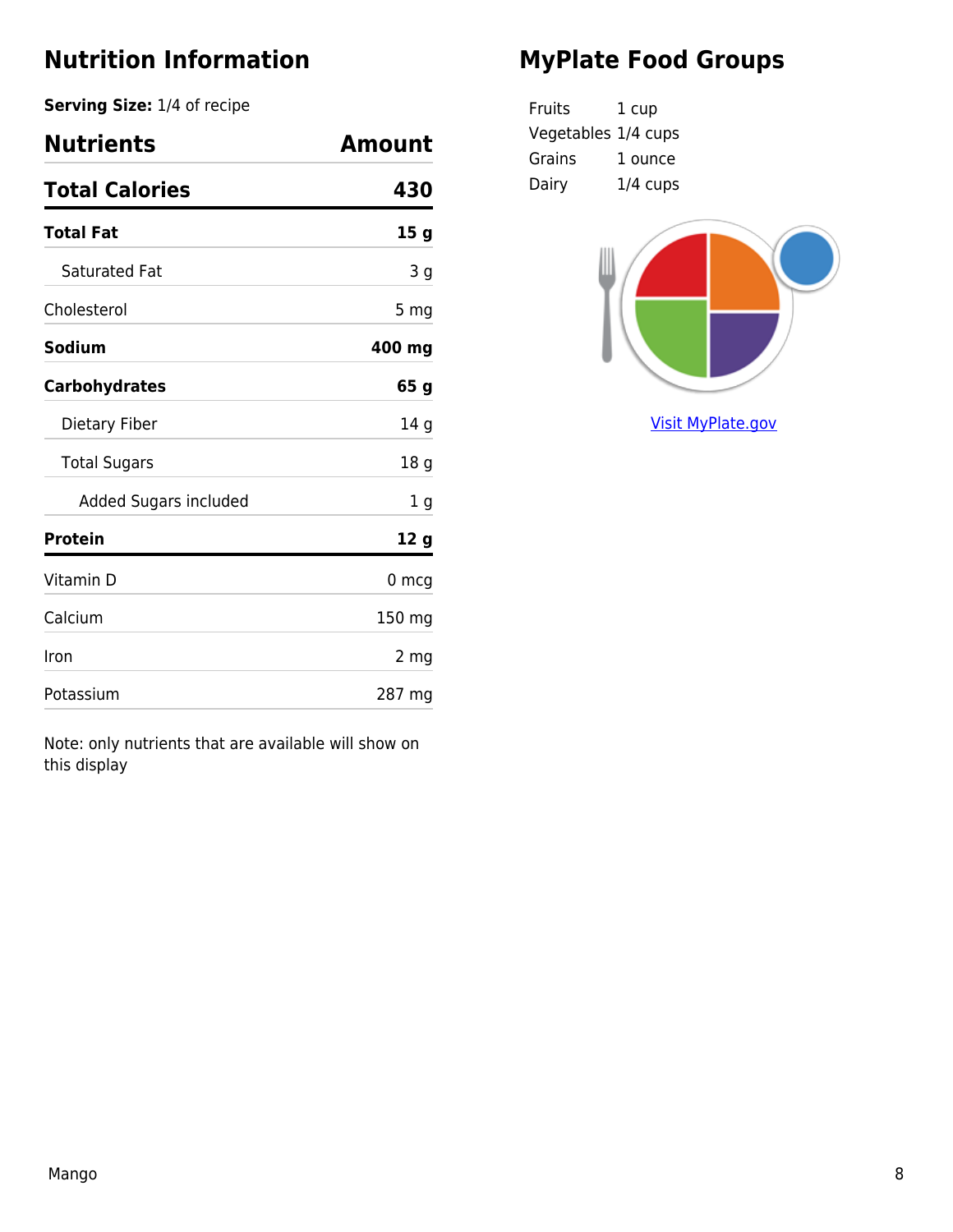**Serving Size:** 1/4 of recipe

| <b>Nutrients</b>      | Amount          |
|-----------------------|-----------------|
| <b>Total Calories</b> | 430             |
| <b>Total Fat</b>      | 15 <sub>g</sub> |
| <b>Saturated Fat</b>  | 3 g             |
| Cholesterol           | 5 mg            |
| Sodium                | 400 mg          |
| <b>Carbohydrates</b>  | 65 g            |
| Dietary Fiber         | 14 g            |
| <b>Total Sugars</b>   | 18 <sub>g</sub> |
| Added Sugars included | 1 g             |
| <b>Protein</b>        | 12 g            |
| Vitamin D             | $0 \text{ mcg}$ |
| Calcium               | 150 mg          |
| Iron                  | 2 mg            |
| Potassium             | 287 mg          |

Note: only nutrients that are available will show on this display

## **MyPlate Food Groups**

| Fruits              | 1 cup      |
|---------------------|------------|
| Vegetables 1/4 cups |            |
| Grains              | 1 ounce    |
| Dairy               | $1/4$ cups |

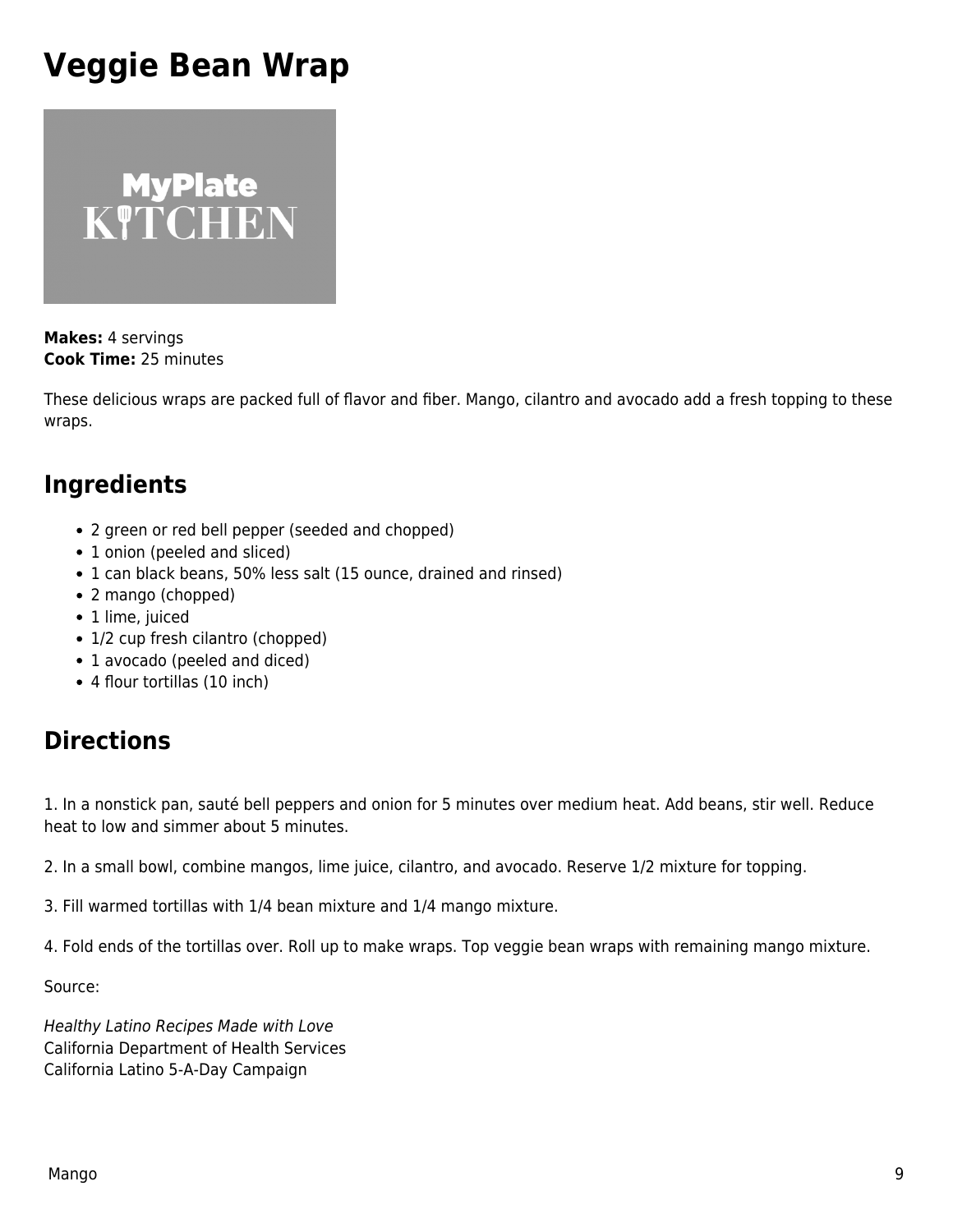# <span id="page-8-0"></span>**Veggie Bean Wrap**



**Makes:** 4 servings **Cook Time:** 25 minutes

These delicious wraps are packed full of flavor and fiber. Mango, cilantro and avocado add a fresh topping to these wraps.

#### **Ingredients**

- 2 green or red bell pepper (seeded and chopped)
- 1 onion (peeled and sliced)
- 1 can black beans, 50% less salt (15 ounce, drained and rinsed)
- 2 mango (chopped)
- 1 lime, juiced
- 1/2 cup fresh cilantro (chopped)
- 1 avocado (peeled and diced)
- 4 flour tortillas (10 inch)

### **Directions**

1. In a nonstick pan, sauté bell peppers and onion for 5 minutes over medium heat. Add beans, stir well. Reduce heat to low and simmer about 5 minutes.

2. In a small bowl, combine mangos, lime juice, cilantro, and avocado. Reserve 1/2 mixture for topping.

3. Fill warmed tortillas with 1/4 bean mixture and 1/4 mango mixture.

4. Fold ends of the tortillas over. Roll up to make wraps. Top veggie bean wraps with remaining mango mixture.

Source:

Healthy Latino Recipes Made with Love California Department of Health Services California Latino 5-A-Day Campaign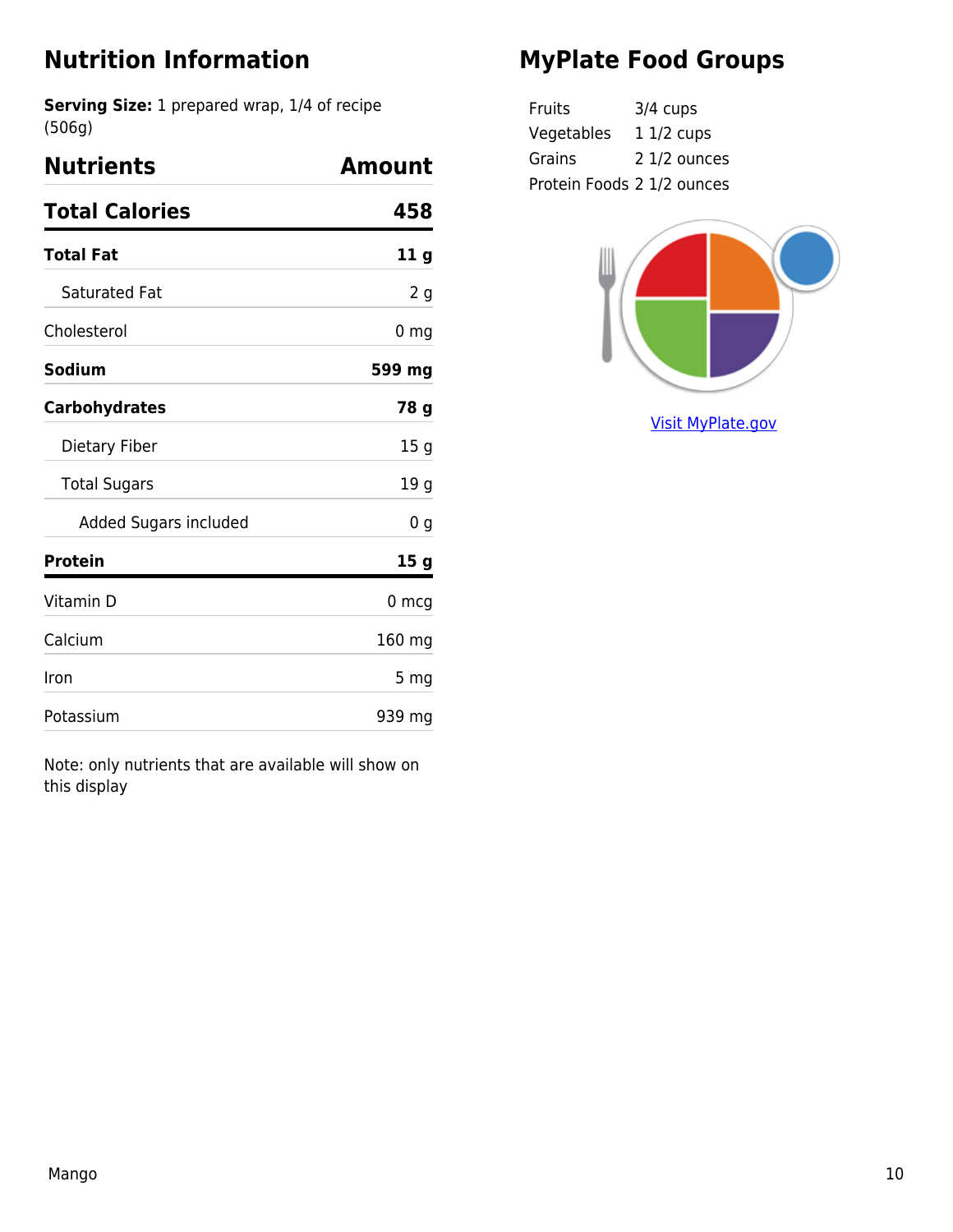**Serving Size:** 1 prepared wrap, 1/4 of recipe (506g)

| <b>Nutrients</b>      | Amount          |
|-----------------------|-----------------|
| <b>Total Calories</b> | 458             |
| Total Fat             | 11 g            |
| <b>Saturated Fat</b>  | 2 <sub>g</sub>  |
| Cholesterol           | 0 <sub>mg</sub> |
| Sodium                | 599 mg          |
| <b>Carbohydrates</b>  | 78 g            |
| Dietary Fiber         | 15 g            |
| <b>Total Sugars</b>   | 19 <sub>g</sub> |
| Added Sugars included | 0 g             |
| Protein               | 15 g            |
| Vitamin D             | 0 <sub>mg</sub> |
| Calcium               | 160 mg          |
| Iron                  | 5 <sub>mg</sub> |
| Potassium             | 939 mg          |

Note: only nutrients that are available will show on this display

## **MyPlate Food Groups**

| Fruits                     | $3/4$ cups   |
|----------------------------|--------------|
| Vegetables                 | 1 1/2 cups   |
| Grains                     | 2 1/2 ounces |
| Protein Foods 2 1/2 ounces |              |

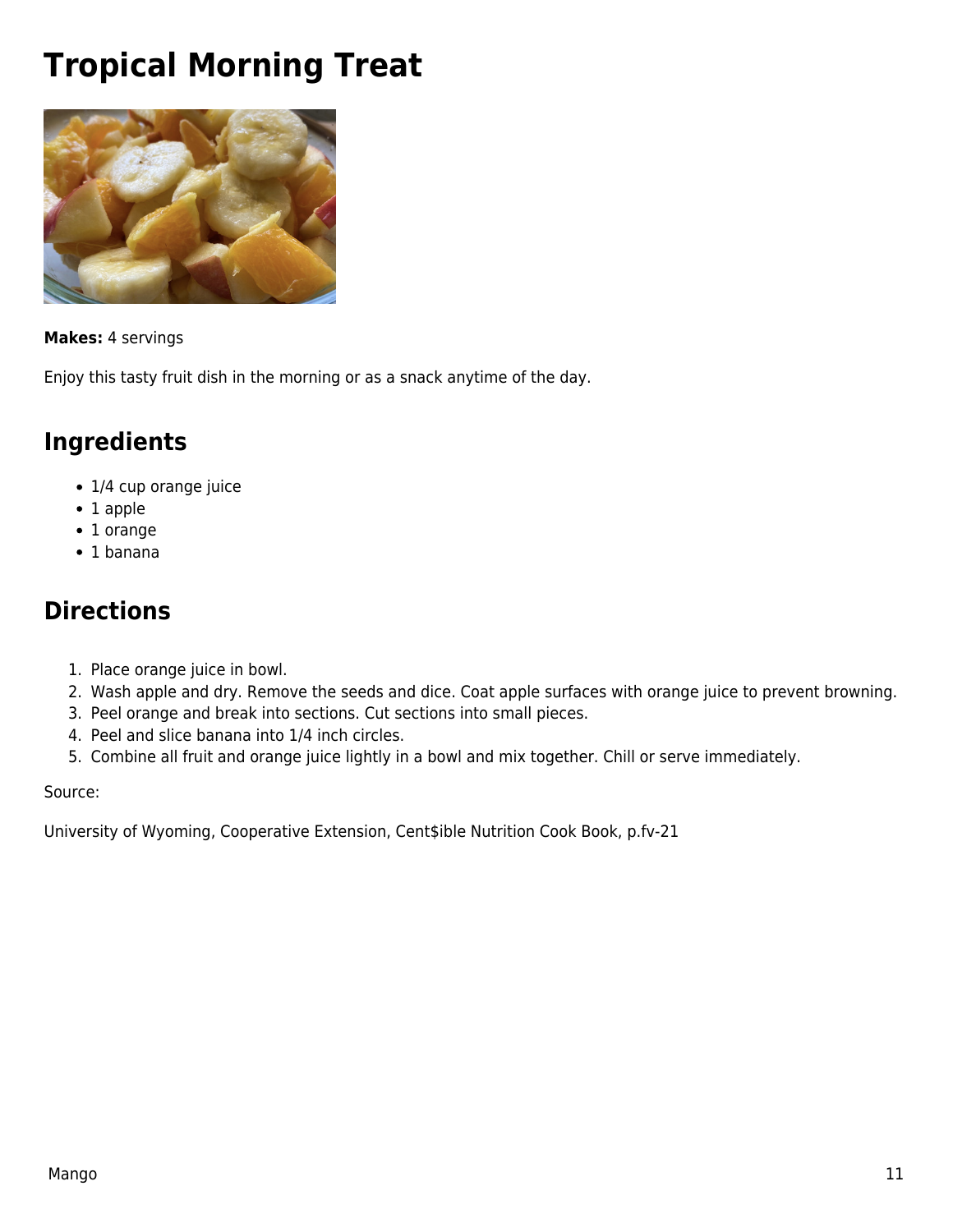# <span id="page-10-0"></span>**Tropical Morning Treat**



#### **Makes:** 4 servings

Enjoy this tasty fruit dish in the morning or as a snack anytime of the day.

#### **Ingredients**

- 1/4 cup orange juice
- 1 apple
- 1 orange
- 1 banana

#### **Directions**

- 1. Place orange juice in bowl.
- 2. Wash apple and dry. Remove the seeds and dice. Coat apple surfaces with orange juice to prevent browning.
- 3. Peel orange and break into sections. Cut sections into small pieces.
- 4. Peel and slice banana into 1/4 inch circles.
- 5. Combine all fruit and orange juice lightly in a bowl and mix together. Chill or serve immediately.

Source:

University of Wyoming, Cooperative Extension, Cent\$ible Nutrition Cook Book, p.fv-21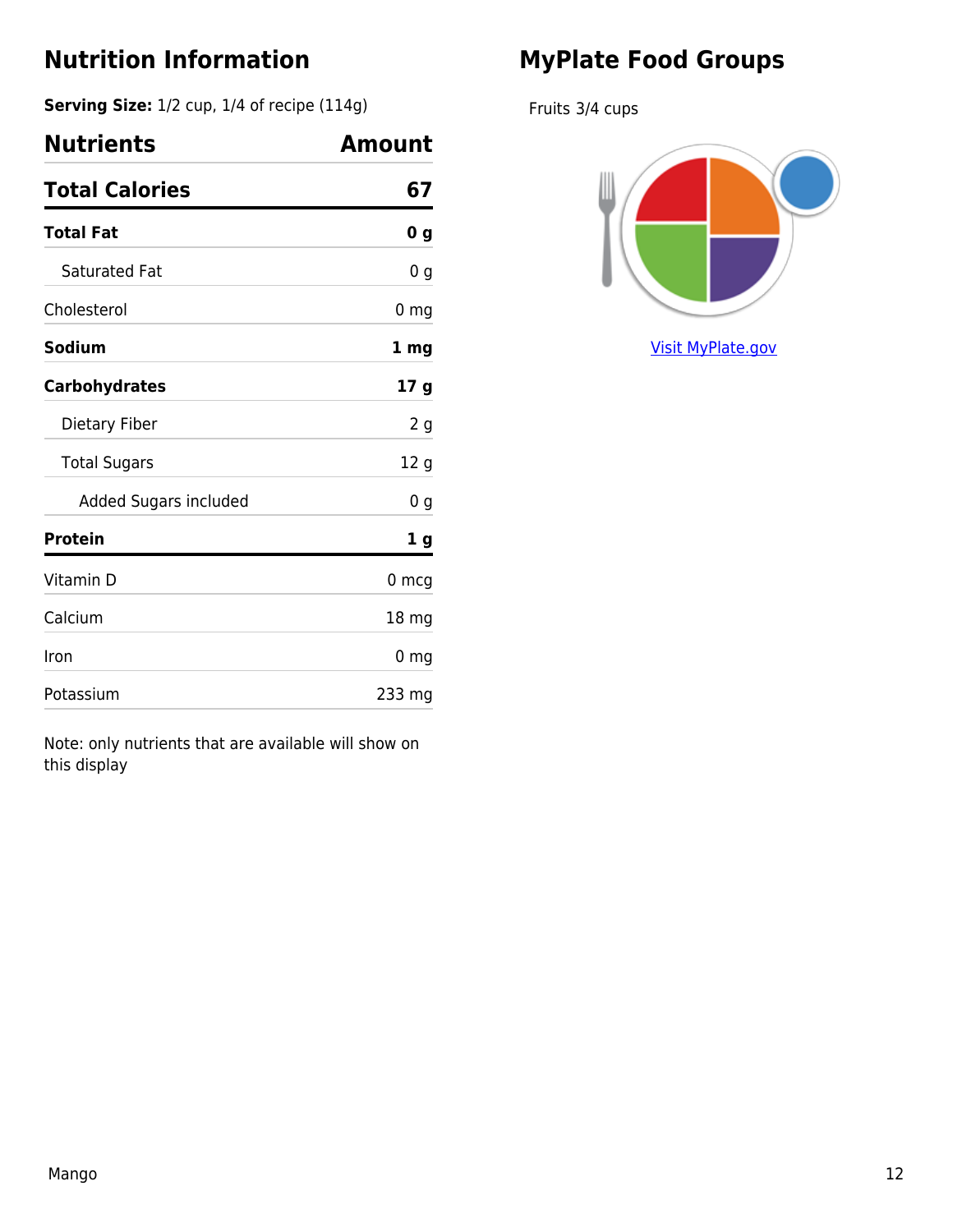**Serving Size:** 1/2 cup, 1/4 of recipe (114g)

| <b>Nutrients</b>      | Amount          |
|-----------------------|-----------------|
| <b>Total Calories</b> | 67              |
| <b>Total Fat</b>      | 0 <sub>g</sub>  |
| <b>Saturated Fat</b>  | 0 g             |
| Cholesterol           | 0 <sub>mg</sub> |
| Sodium                | 1 mg            |
| <b>Carbohydrates</b>  | 17 g            |
| Dietary Fiber         | 2 <sub>g</sub>  |
| <b>Total Sugars</b>   | 12 <sub>g</sub> |
| Added Sugars included | 0 <sub>g</sub>  |
| <b>Protein</b>        | 1 g             |
| Vitamin D             | 0 mcg           |
| Calcium               | 18 mg           |
| Iron                  | 0 <sub>mg</sub> |
| Potassium             | 233 mg          |

Note: only nutrients that are available will show on this display

## **MyPlate Food Groups**

Fruits 3/4 cups

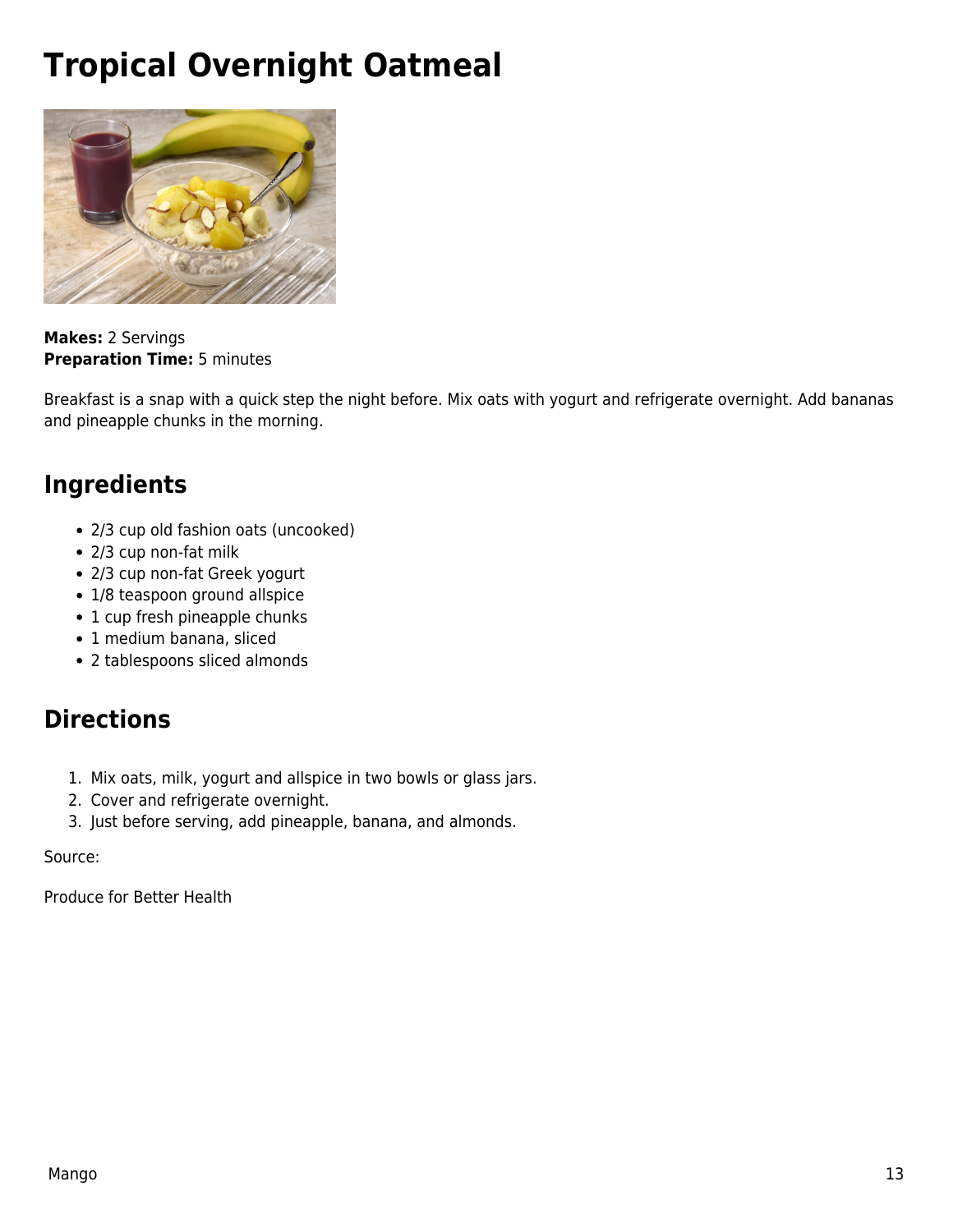# <span id="page-12-0"></span>**Tropical Overnight Oatmeal**



**Makes:** 2 Servings **Preparation Time:** 5 minutes

Breakfast is a snap with a quick step the night before. Mix oats with yogurt and refrigerate overnight. Add bananas and pineapple chunks in the morning.

#### **Ingredients**

- 2/3 cup old fashion oats (uncooked)
- 2/3 cup non-fat milk
- 2/3 cup non-fat Greek yogurt
- 1/8 teaspoon ground allspice
- 1 cup fresh pineapple chunks
- 1 medium banana, sliced
- 2 tablespoons sliced almonds

#### **Directions**

- 1. Mix oats, milk, yogurt and allspice in two bowls or glass jars.
- 2. Cover and refrigerate overnight.
- 3. Just before serving, add pineapple, banana, and almonds.

#### Source:

Produce for Better Health